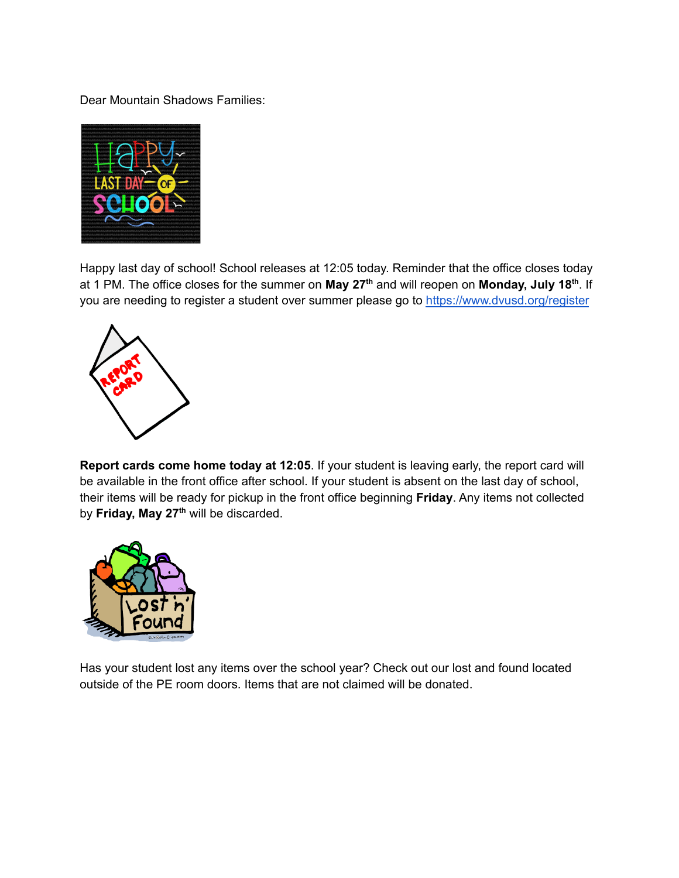Dear Mountain Shadows Families:



Happy last day of school! School releases at 12:05 today. Reminder that the office closes today at 1 PM. The office closes for the summer on **May 27 th** and will reopen on **Monday, July 18 th** . If you are needing to register a student over summer please go to <https://www.dvusd.org/register>



**Report cards come home today at 12:05**. If your student is leaving early, the report card will be available in the front office after school. If your student is absent on the last day of school, their items will be ready for pickup in the front office beginning **Friday**. Any items not collected by **Friday, May 27 th** will be discarded.



Has your student lost any items over the school year? Check out our lost and found located outside of the PE room doors. Items that are not claimed will be donated.